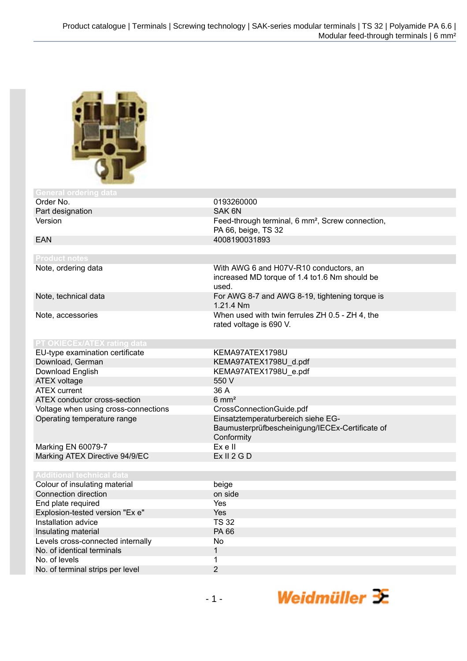

| General ordering data                |                                                                                                     |
|--------------------------------------|-----------------------------------------------------------------------------------------------------|
| Order No.                            | 0193260000                                                                                          |
| Part designation                     | SAK 6N                                                                                              |
| Version                              | Feed-through terminal, 6 mm <sup>2</sup> , Screw connection,<br>PA 66, beige, TS 32                 |
| <b>EAN</b>                           | 4008190031893                                                                                       |
|                                      |                                                                                                     |
| <b>Product notes</b>                 |                                                                                                     |
| Note, ordering data                  | With AWG 6 and H07V-R10 conductors, an<br>increased MD torque of 1.4 to 1.6 Nm should be<br>used.   |
| Note, technical data                 | For AWG 8-7 and AWG 8-19, tightening torque is<br>1.21.4 Nm                                         |
| Note, accessories                    | When used with twin ferrules ZH 0.5 - ZH 4, the<br>rated voltage is 690 V.                          |
| PT OKIECEx/ATEX rating data          |                                                                                                     |
| EU-type examination certificate      | KEMA97ATEX1798U                                                                                     |
| Download, German                     | KEMA97ATEX1798U d.pdf                                                                               |
| Download English                     | KEMA97ATEX1798U_e.pdf                                                                               |
| <b>ATEX voltage</b>                  | 550 V                                                                                               |
| <b>ATEX</b> current                  | 36 A                                                                                                |
| ATEX conductor cross-section         | $6 \text{ mm}^2$                                                                                    |
| Voltage when using cross-connections | CrossConnectionGuide.pdf                                                                            |
| Operating temperature range          | Einsatztemperaturbereich siehe EG-<br>Baumusterprüfbescheinigung/IECEx-Certificate of<br>Conformity |
| Marking EN 60079-7                   | Ex e II                                                                                             |
| Marking ATEX Directive 94/9/EC       | Ex II 2 G D                                                                                         |
|                                      |                                                                                                     |
| <b>Additional technical data</b>     |                                                                                                     |
| Colour of insulating material        | beige                                                                                               |
| Connection direction                 | on side                                                                                             |
| End plate required                   | Yes                                                                                                 |
| Explosion-tested version "Ex e"      | Yes                                                                                                 |
| Installation advice                  | <b>TS 32</b>                                                                                        |
| Insulating material                  | PA 66                                                                                               |
| Levels cross-connected internally    | No                                                                                                  |
| No. of identical terminals           | $\mathbf{1}$                                                                                        |
| No. of levels                        | 1                                                                                                   |
| No. of terminal strips per level     | $\overline{2}$                                                                                      |

Weidmüller **K**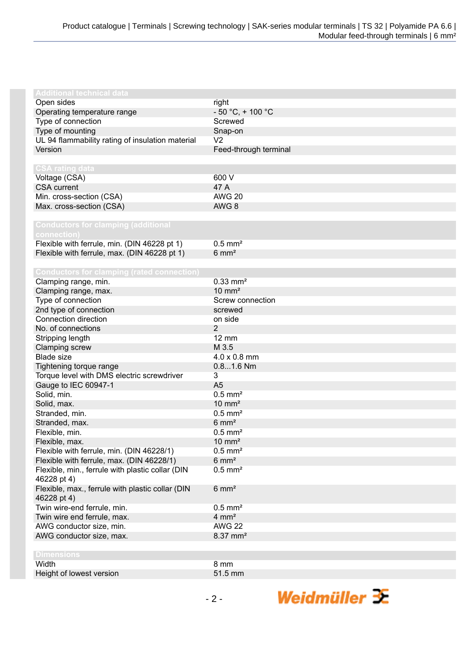| <b>Additional technical data</b>                          |                        |
|-----------------------------------------------------------|------------------------|
| Open sides                                                | right                  |
| Operating temperature range                               | $-50 °C$ , + 100 °C    |
| Type of connection                                        | Screwed                |
| Type of mounting                                          | Snap-on                |
| UL 94 flammability rating of insulation material          | V <sub>2</sub>         |
| Version                                                   | Feed-through terminal  |
|                                                           |                        |
| <b>CSA rating data</b>                                    |                        |
| Voltage (CSA)                                             | 600 V                  |
| <b>CSA</b> current                                        | 47 A                   |
| Min. cross-section (CSA)                                  | <b>AWG 20</b>          |
| Max. cross-section (CSA)                                  | AWG <sub>8</sub>       |
|                                                           |                        |
| <b>Conductors for clamping (additional</b><br>connection) |                        |
| Flexible with ferrule, min. (DIN 46228 pt 1)              | $0.5$ mm <sup>2</sup>  |
| Flexible with ferrule, max. (DIN 46228 pt 1)              | $6 \text{ mm}^2$       |
|                                                           |                        |
| <b>Conductors for clamping (rated connection)</b>         |                        |
| Clamping range, min.                                      | $0.33$ mm <sup>2</sup> |
| Clamping range, max.                                      | $10 \text{ mm}^2$      |
| Type of connection                                        | Screw connection       |
| 2nd type of connection                                    | screwed                |
| Connection direction                                      | on side                |
| No. of connections                                        | 2                      |
| Stripping length                                          | <b>12 mm</b>           |
| Clamping screw                                            | M 3.5                  |
| <b>Blade size</b>                                         | 4.0 x 0.8 mm           |
| Tightening torque range                                   | $0.81.6$ Nm            |
| Torque level with DMS electric screwdriver                | 3                      |
| Gauge to IEC 60947-1                                      | A <sub>5</sub>         |
| Solid, min.                                               | $0.5$ mm <sup>2</sup>  |
| Solid, max.                                               | $10 \text{ mm}^2$      |
| Stranded, min.                                            | $0.5$ mm <sup>2</sup>  |
| Stranded, max.                                            | $6 \text{ mm}^2$       |
| Flexible, min.                                            | $0.5$ mm <sup>2</sup>  |
| Flexible, max.                                            | $10 \text{ mm}^2$      |
| Flexible with ferrule, min. (DIN 46228/1)                 | $0.5$ mm <sup>2</sup>  |
| Flexible with ferrule, max. (DIN 46228/1)                 | $6 \text{ mm}^2$       |
| Flexible, min., ferrule with plastic collar (DIN          | $0.5$ mm <sup>2</sup>  |
| 46228 pt 4)                                               |                        |
| Flexible, max., ferrule with plastic collar (DIN          | $6 \text{ mm}^2$       |
| 46228 pt 4)                                               |                        |
| Twin wire-end ferrule, min.                               | $0.5$ mm <sup>2</sup>  |
| Twin wire end ferrule, max.                               | $4 \, \text{mm}^2$     |
| AWG conductor size, min.                                  | <b>AWG 22</b>          |
| AWG conductor size, max.                                  | 8.37 mm <sup>2</sup>   |
|                                                           |                        |
| <b>Dimensions</b>                                         |                        |
| Width                                                     | 8 mm                   |
| Height of lowest version                                  | 51.5 mm                |
|                                                           |                        |

Weidmüller 3E